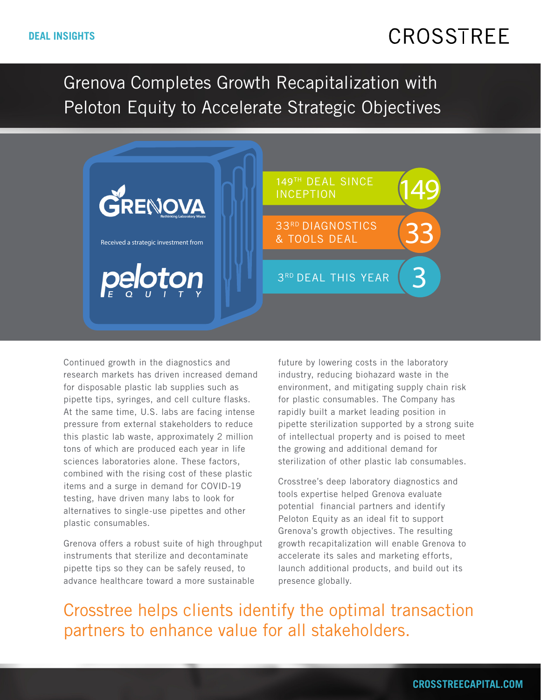## CROSSTREE

Grenova Completes Growth Recapitalization with Peloton Equity to Accelerate Strategic Objectives



Continued growth in the diagnostics and research markets has driven increased demand for disposable plastic lab supplies such as pipette tips, syringes, and cell culture flasks. At the same time, U.S. labs are facing intense pressure from external stakeholders to reduce this plastic lab waste, approximately 2 million tons of which are produced each year in life sciences laboratories alone. These factors, combined with the rising cost of these plastic items and a surge in demand for COVID-19 testing, have driven many labs to look for alternatives to single-use pipettes and other plastic consumables.

Grenova offers a robust suite of high throughput instruments that sterilize and decontaminate pipette tips so they can be safely reused, to advance healthcare toward a more sustainable

future by lowering costs in the laboratory industry, reducing biohazard waste in the environment, and mitigating supply chain risk for plastic consumables. The Company has rapidly built a market leading position in pipette sterilization supported by a strong suite of intellectual property and is poised to meet the growing and additional demand for sterilization of other plastic lab consumables.

Crosstree's deep laboratory diagnostics and tools expertise helped Grenova evaluate potential financial partners and identify Peloton Equity as an ideal fit to support Grenova's growth objectives. The resulting growth recapitalization will enable Grenova to accelerate its sales and marketing efforts, launch additional products, and build out its presence globally.

Crosstree helps clients identify the optimal transaction partners to enhance value for all stakeholders.